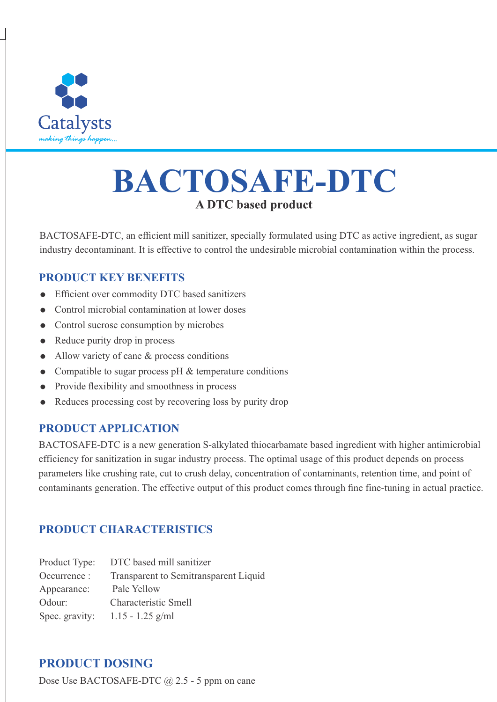

# **BACTOSAFE-DTC**

BACTOSAFE-DTC, an efficient mill sanitizer, specially formulated using DTC as active ingredient, as sugar industry decontaminant. It is effective to control the undesirable microbial contamination within the process.

## **PRODUCT KEY BENEFITS**

- Efficient over commodity DTC based sanitizers
- Control microbial contamination at lower doses
- Control sucrose consumption by microbes
- $\bullet$  Reduce purity drop in process
- $\bullet$  Allow variety of cane & process conditions
- Compatible to sugar process  $pH \&$  temperature conditions
- Provide flexibility and smoothness in process
- Reduces processing cost by recovering loss by purity drop

### **PRODUCT APPLICATION**

BACTOSAFE-DTC is a new generation S-alkylated thiocarbamate based ingredient with higher antimicrobial efficiency for sanitization in sugar industry process. The optimal usage of this product depends on process parameters like crushing rate, cut to crush delay, concentration of contaminants, retention time, and point of contaminants generation. The effective output of this product comes through fine fine-tuning in actual practice.

## **PRODUCT CHARACTERISTICS**

| Product Type:  | DTC based mill sanitizer              |
|----------------|---------------------------------------|
| Occurrence :   | Transparent to Semitransparent Liquid |
| Appearance:    | Pale Yellow                           |
| Odour:         | Characteristic Smell                  |
| Spec. gravity: | $1.15 - 1.25$ g/ml                    |

## **PRODUCT DOSING**

Dose Use BACTOSAFE-DTC @ 2.5 - 5 ppm on cane